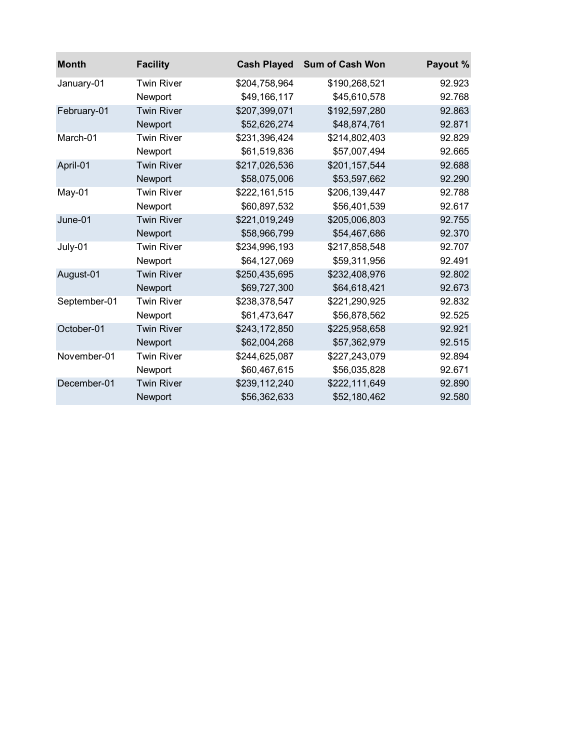| <b>Month</b> | <b>Facility</b>   | <b>Cash Played</b> | <b>Sum of Cash Won</b> | Payout % |
|--------------|-------------------|--------------------|------------------------|----------|
| January-01   | <b>Twin River</b> | \$204,758,964      | \$190,268,521          | 92.923   |
|              | Newport           | \$49,166,117       | \$45,610,578           | 92.768   |
| February-01  | <b>Twin River</b> | \$207,399,071      | \$192,597,280          | 92.863   |
|              | Newport           | \$52,626,274       | \$48,874,761           | 92.871   |
| March-01     | <b>Twin River</b> | \$231,396,424      | \$214,802,403          | 92.829   |
|              | Newport           | \$61,519,836       | \$57,007,494           | 92.665   |
| April-01     | <b>Twin River</b> | \$217,026,536      | \$201,157,544          | 92.688   |
|              | Newport           | \$58,075,006       | \$53,597,662           | 92.290   |
| May-01       | <b>Twin River</b> | \$222,161,515      | \$206,139,447          | 92.788   |
|              | Newport           | \$60,897,532       | \$56,401,539           | 92.617   |
| June-01      | <b>Twin River</b> | \$221,019,249      | \$205,006,803          | 92.755   |
|              | Newport           | \$58,966,799       | \$54,467,686           | 92.370   |
| July-01      | <b>Twin River</b> | \$234,996,193      | \$217,858,548          | 92.707   |
|              | Newport           | \$64,127,069       | \$59,311,956           | 92.491   |
| August-01    | <b>Twin River</b> | \$250,435,695      | \$232,408,976          | 92.802   |
|              | Newport           | \$69,727,300       | \$64,618,421           | 92.673   |
| September-01 | <b>Twin River</b> | \$238,378,547      | \$221,290,925          | 92.832   |
|              | Newport           | \$61,473,647       | \$56,878,562           | 92.525   |
| October-01   | <b>Twin River</b> | \$243,172,850      | \$225,958,658          | 92.921   |
|              | Newport           | \$62,004,268       | \$57,362,979           | 92.515   |
| November-01  | <b>Twin River</b> | \$244,625,087      | \$227,243,079          | 92.894   |
|              | Newport           | \$60,467,615       | \$56,035,828           | 92.671   |
| December-01  | <b>Twin River</b> | \$239,112,240      | \$222,111,649          | 92.890   |
|              | Newport           | \$56,362,633       | \$52,180,462           | 92.580   |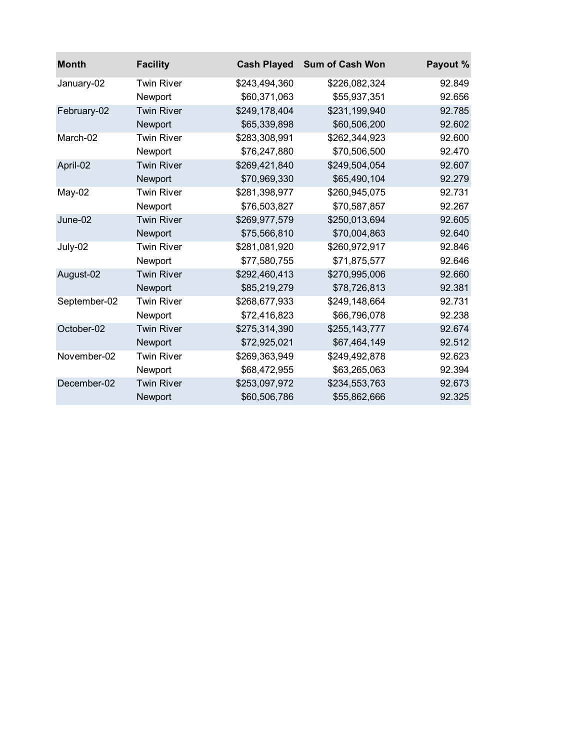| <b>Month</b> | <b>Facility</b>   | <b>Cash Played</b> | <b>Sum of Cash Won</b> | Payout % |
|--------------|-------------------|--------------------|------------------------|----------|
| January-02   | <b>Twin River</b> | \$243,494,360      | \$226,082,324          | 92.849   |
|              | Newport           | \$60,371,063       | \$55,937,351           | 92.656   |
| February-02  | <b>Twin River</b> | \$249,178,404      | \$231,199,940          | 92.785   |
|              | Newport           | \$65,339,898       | \$60,506,200           | 92.602   |
| March-02     | <b>Twin River</b> | \$283,308,991      | \$262,344,923          | 92.600   |
|              | Newport           | \$76,247,880       | \$70,506,500           | 92.470   |
| April-02     | <b>Twin River</b> | \$269,421,840      | \$249,504,054          | 92.607   |
|              | Newport           | \$70,969,330       | \$65,490,104           | 92.279   |
| $May-02$     | <b>Twin River</b> | \$281,398,977      | \$260,945,075          | 92.731   |
|              | Newport           | \$76,503,827       | \$70,587,857           | 92.267   |
| $June-02$    | <b>Twin River</b> | \$269,977,579      | \$250,013,694          | 92.605   |
|              | Newport           | \$75,566,810       | \$70,004,863           | 92.640   |
| July-02      | <b>Twin River</b> | \$281,081,920      | \$260,972,917          | 92.846   |
|              | Newport           | \$77,580,755       | \$71,875,577           | 92.646   |
| August-02    | <b>Twin River</b> | \$292,460,413      | \$270,995,006          | 92.660   |
|              | Newport           | \$85,219,279       | \$78,726,813           | 92.381   |
| September-02 | <b>Twin River</b> | \$268,677,933      | \$249,148,664          | 92.731   |
|              | Newport           | \$72,416,823       | \$66,796,078           | 92.238   |
| October-02   | <b>Twin River</b> | \$275,314,390      | \$255,143,777          | 92.674   |
|              | Newport           | \$72,925,021       | \$67,464,149           | 92.512   |
| November-02  | <b>Twin River</b> | \$269,363,949      | \$249,492,878          | 92.623   |
|              | Newport           | \$68,472,955       | \$63,265,063           | 92.394   |
| December-02  | <b>Twin River</b> | \$253,097,972      | \$234,553,763          | 92.673   |
|              | Newport           | \$60,506,786       | \$55,862,666           | 92.325   |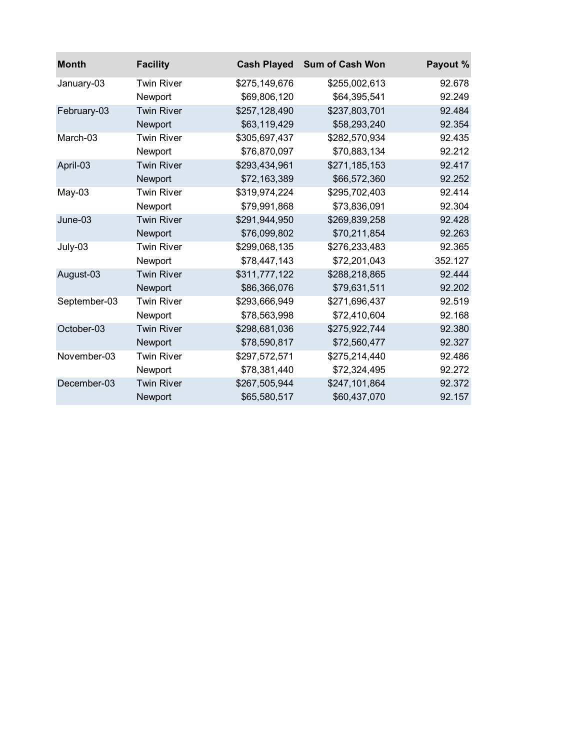| <b>Month</b> | <b>Facility</b>   | <b>Cash Played</b> | <b>Sum of Cash Won</b> | Payout % |
|--------------|-------------------|--------------------|------------------------|----------|
| January-03   | <b>Twin River</b> | \$275,149,676      | \$255,002,613          | 92.678   |
|              | Newport           | \$69,806,120       | \$64,395,541           | 92.249   |
| February-03  | <b>Twin River</b> | \$257,128,490      | \$237,803,701          | 92.484   |
|              | Newport           | \$63,119,429       | \$58,293,240           | 92.354   |
| March-03     | <b>Twin River</b> | \$305,697,437      | \$282,570,934          | 92.435   |
|              | Newport           | \$76,870,097       | \$70,883,134           | 92.212   |
| April-03     | <b>Twin River</b> | \$293,434,961      | \$271,185,153          | 92.417   |
|              | Newport           | \$72,163,389       | \$66,572,360           | 92.252   |
| $May-03$     | <b>Twin River</b> | \$319,974,224      | \$295,702,403          | 92.414   |
|              | Newport           | \$79,991,868       | \$73,836,091           | 92.304   |
| $June-03$    | <b>Twin River</b> | \$291,944,950      | \$269,839,258          | 92.428   |
|              | Newport           | \$76,099,802       | \$70,211,854           | 92.263   |
| July-03      | <b>Twin River</b> | \$299,068,135      | \$276,233,483          | 92.365   |
|              | Newport           | \$78,447,143       | \$72,201,043           | 352.127  |
| August-03    | <b>Twin River</b> | \$311,777,122      | \$288,218,865          | 92.444   |
|              | Newport           | \$86,366,076       | \$79,631,511           | 92.202   |
| September-03 | <b>Twin River</b> | \$293,666,949      | \$271,696,437          | 92.519   |
|              | Newport           | \$78,563,998       | \$72,410,604           | 92.168   |
| October-03   | <b>Twin River</b> | \$298,681,036      | \$275,922,744          | 92.380   |
|              | Newport           | \$78,590,817       | \$72,560,477           | 92.327   |
| November-03  | <b>Twin River</b> | \$297,572,571      | \$275,214,440          | 92.486   |
|              | Newport           | \$78,381,440       | \$72,324,495           | 92.272   |
| December-03  | <b>Twin River</b> | \$267,505,944      | \$247,101,864          | 92.372   |
|              | Newport           | \$65,580,517       | \$60,437,070           | 92.157   |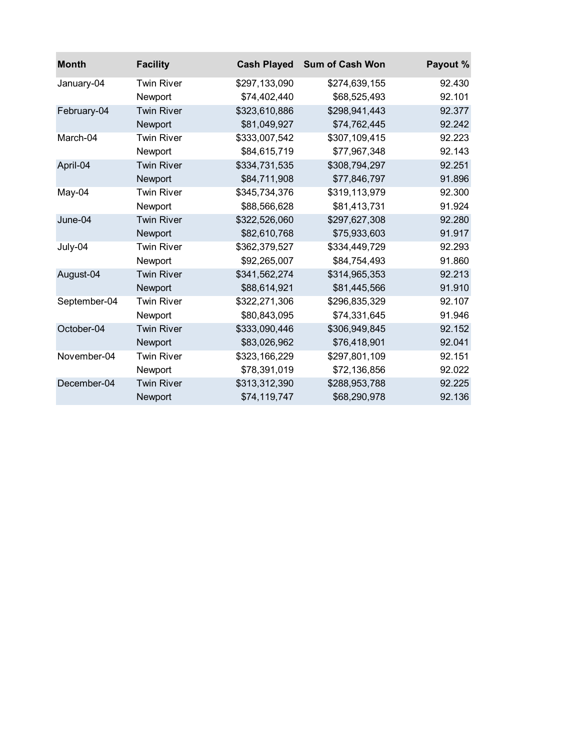| <b>Month</b> | <b>Facility</b>   | <b>Cash Played</b> | <b>Sum of Cash Won</b> | Payout % |
|--------------|-------------------|--------------------|------------------------|----------|
| January-04   | <b>Twin River</b> | \$297,133,090      | \$274,639,155          | 92.430   |
|              | Newport           | \$74,402,440       | \$68,525,493           | 92.101   |
| February-04  | <b>Twin River</b> | \$323,610,886      | \$298,941,443          | 92.377   |
|              | Newport           | \$81,049,927       | \$74,762,445           | 92.242   |
| March-04     | <b>Twin River</b> | \$333,007,542      | \$307,109,415          | 92.223   |
|              | Newport           | \$84,615,719       | \$77,967,348           | 92.143   |
| April-04     | <b>Twin River</b> | \$334,731,535      | \$308,794,297          | 92.251   |
|              | Newport           | \$84,711,908       | \$77,846,797           | 91.896   |
| May-04       | <b>Twin River</b> | \$345,734,376      | \$319,113,979          | 92.300   |
|              | Newport           | \$88,566,628       | \$81,413,731           | 91.924   |
| June-04      | <b>Twin River</b> | \$322,526,060      | \$297,627,308          | 92.280   |
|              | Newport           | \$82,610,768       | \$75,933,603           | 91.917   |
| July-04      | <b>Twin River</b> | \$362,379,527      | \$334,449,729          | 92.293   |
|              | Newport           | \$92,265,007       | \$84,754,493           | 91.860   |
| August-04    | <b>Twin River</b> | \$341,562,274      | \$314,965,353          | 92.213   |
|              | Newport           | \$88,614,921       | \$81,445,566           | 91.910   |
| September-04 | <b>Twin River</b> | \$322,271,306      | \$296,835,329          | 92.107   |
|              | Newport           | \$80,843,095       | \$74,331,645           | 91.946   |
| October-04   | <b>Twin River</b> | \$333,090,446      | \$306,949,845          | 92.152   |
|              | Newport           | \$83,026,962       | \$76,418,901           | 92.041   |
| November-04  | <b>Twin River</b> | \$323,166,229      | \$297,801,109          | 92.151   |
|              | Newport           | \$78,391,019       | \$72,136,856           | 92.022   |
| December-04  | <b>Twin River</b> | \$313,312,390      | \$288,953,788          | 92.225   |
|              | Newport           | \$74,119,747       | \$68,290,978           | 92.136   |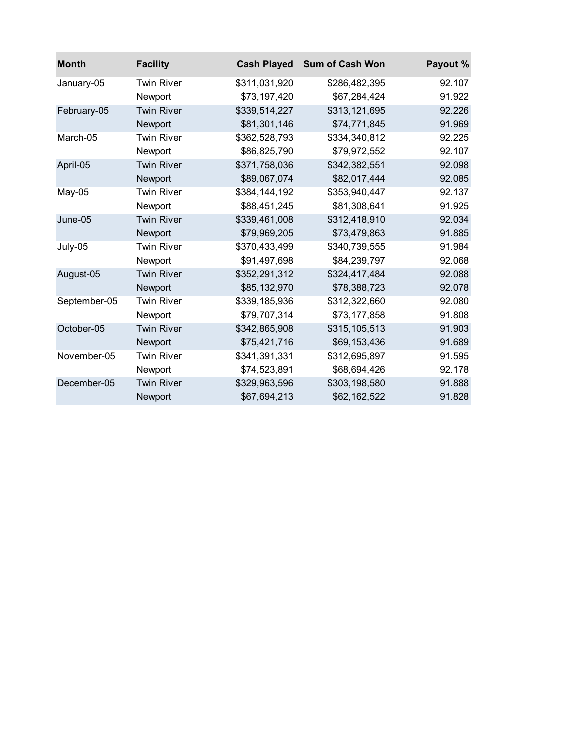| <b>Month</b> | <b>Facility</b>   | <b>Cash Played</b> | <b>Sum of Cash Won</b> | Payout % |
|--------------|-------------------|--------------------|------------------------|----------|
| January-05   | <b>Twin River</b> | \$311,031,920      | \$286,482,395          | 92.107   |
|              | Newport           | \$73,197,420       | \$67,284,424           | 91.922   |
| February-05  | <b>Twin River</b> | \$339,514,227      | \$313,121,695          | 92.226   |
|              | Newport           | \$81,301,146       | \$74,771,845           | 91.969   |
| March-05     | <b>Twin River</b> | \$362,528,793      | \$334,340,812          | 92.225   |
|              | Newport           | \$86,825,790       | \$79,972,552           | 92.107   |
| April-05     | <b>Twin River</b> | \$371,758,036      | \$342,382,551          | 92.098   |
|              | Newport           | \$89,067,074       | \$82,017,444           | 92.085   |
| May-05       | <b>Twin River</b> | \$384,144,192      | \$353,940,447          | 92.137   |
|              | Newport           | \$88,451,245       | \$81,308,641           | 91.925   |
| June-05      | <b>Twin River</b> | \$339,461,008      | \$312,418,910          | 92.034   |
|              | Newport           | \$79,969,205       | \$73,479,863           | 91.885   |
| July-05      | <b>Twin River</b> | \$370,433,499      | \$340,739,555          | 91.984   |
|              | Newport           | \$91,497,698       | \$84,239,797           | 92.068   |
| August-05    | <b>Twin River</b> | \$352,291,312      | \$324,417,484          | 92.088   |
|              | Newport           | \$85,132,970       | \$78,388,723           | 92.078   |
| September-05 | <b>Twin River</b> | \$339,185,936      | \$312,322,660          | 92.080   |
|              | Newport           | \$79,707,314       | \$73,177,858           | 91.808   |
| October-05   | <b>Twin River</b> | \$342,865,908      | \$315,105,513          | 91.903   |
|              | Newport           | \$75,421,716       | \$69,153,436           | 91.689   |
| November-05  | <b>Twin River</b> | \$341,391,331      | \$312,695,897          | 91.595   |
|              | Newport           | \$74,523,891       | \$68,694,426           | 92.178   |
| December-05  | <b>Twin River</b> | \$329,963,596      | \$303,198,580          | 91.888   |
|              | Newport           | \$67,694,213       | \$62,162,522           | 91.828   |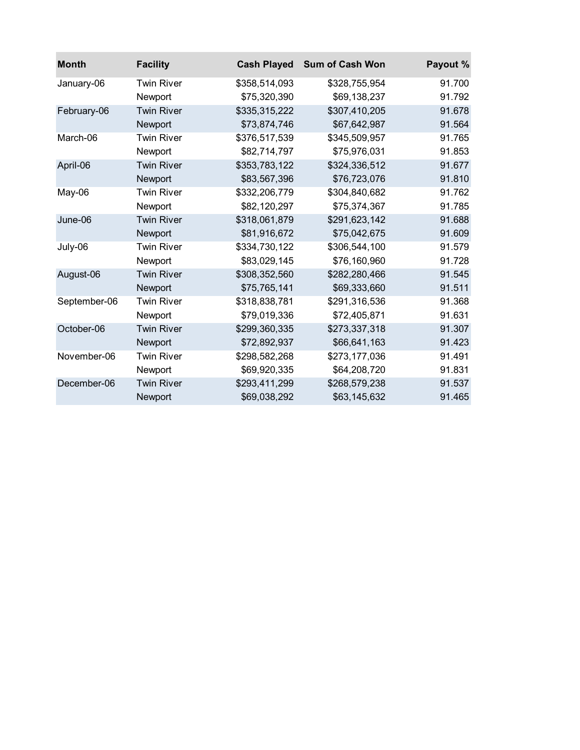| <b>Month</b> | <b>Facility</b>   | <b>Cash Played</b> | <b>Sum of Cash Won</b> | Payout % |
|--------------|-------------------|--------------------|------------------------|----------|
| January-06   | <b>Twin River</b> | \$358,514,093      | \$328,755,954          | 91.700   |
|              | Newport           | \$75,320,390       | \$69,138,237           | 91.792   |
| February-06  | <b>Twin River</b> | \$335,315,222      | \$307,410,205          | 91.678   |
|              | Newport           | \$73,874,746       | \$67,642,987           | 91.564   |
| March-06     | <b>Twin River</b> | \$376,517,539      | \$345,509,957          | 91.765   |
|              | Newport           | \$82,714,797       | \$75,976,031           | 91.853   |
| April-06     | <b>Twin River</b> | \$353,783,122      | \$324,336,512          | 91.677   |
|              | Newport           | \$83,567,396       | \$76,723,076           | 91.810   |
| $May-06$     | <b>Twin River</b> | \$332,206,779      | \$304,840,682          | 91.762   |
|              | Newport           | \$82,120,297       | \$75,374,367           | 91.785   |
| June-06      | <b>Twin River</b> | \$318,061,879      | \$291,623,142          | 91.688   |
|              | Newport           | \$81,916,672       | \$75,042,675           | 91.609   |
| July-06      | <b>Twin River</b> | \$334,730,122      | \$306,544,100          | 91.579   |
|              | Newport           | \$83,029,145       | \$76,160,960           | 91.728   |
| August-06    | <b>Twin River</b> | \$308,352,560      | \$282,280,466          | 91.545   |
|              | Newport           | \$75,765,141       | \$69,333,660           | 91.511   |
| September-06 | <b>Twin River</b> | \$318,838,781      | \$291,316,536          | 91.368   |
|              | Newport           | \$79,019,336       | \$72,405,871           | 91.631   |
| October-06   | <b>Twin River</b> | \$299,360,335      | \$273,337,318          | 91.307   |
|              | Newport           | \$72,892,937       | \$66,641,163           | 91.423   |
| November-06  | <b>Twin River</b> | \$298,582,268      | \$273,177,036          | 91.491   |
|              | Newport           | \$69,920,335       | \$64,208,720           | 91.831   |
| December-06  | <b>Twin River</b> | \$293,411,299      | \$268,579,238          | 91.537   |
|              | Newport           | \$69,038,292       | \$63,145,632           | 91.465   |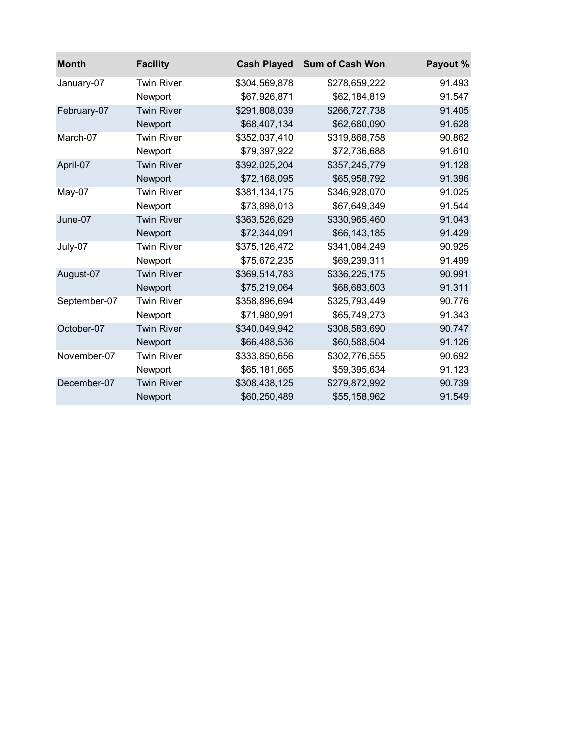| <b>Month</b> | <b>Facility</b>   | <b>Cash Played</b> | <b>Sum of Cash Won</b> | Payout % |
|--------------|-------------------|--------------------|------------------------|----------|
| January-07   | <b>Twin River</b> | \$304,569,878      | \$278,659,222          | 91.493   |
|              | Newport           | \$67,926,871       | \$62,184,819           | 91.547   |
| February-07  | <b>Twin River</b> | \$291,808,039      | \$266,727,738          | 91.405   |
|              | Newport           | \$68,407,134       | \$62,680,090           | 91.628   |
| March-07     | <b>Twin River</b> | \$352,037,410      | \$319,868,758          | 90.862   |
|              | Newport           | \$79,397,922       | \$72,736,688           | 91.610   |
| April-07     | <b>Twin River</b> | \$392,025,204      | \$357,245,779          | 91.128   |
|              | Newport           | \$72,168,095       | \$65,958,792           | 91.396   |
| May-07       | <b>Twin River</b> | \$381,134,175      | \$346,928,070          | 91.025   |
|              | Newport           | \$73,898,013       | \$67,649,349           | 91.544   |
| June-07      | <b>Twin River</b> | \$363,526,629      | \$330,965,460          | 91.043   |
|              | Newport           | \$72,344,091       | \$66,143,185           | 91.429   |
| July-07      | <b>Twin River</b> | \$375,126,472      | \$341,084,249          | 90.925   |
|              | Newport           | \$75,672,235       | \$69,239,311           | 91.499   |
| August-07    | <b>Twin River</b> | \$369,514,783      | \$336,225,175          | 90.991   |
|              | Newport           | \$75,219,064       | \$68,683,603           | 91.311   |
| September-07 | <b>Twin River</b> | \$358,896,694      | \$325,793,449          | 90.776   |
|              | Newport           | \$71,980,991       | \$65,749,273           | 91.343   |
| October-07   | <b>Twin River</b> | \$340,049,942      | \$308,583,690          | 90.747   |
|              | Newport           | \$66,488,536       | \$60,588,504           | 91.126   |
| November-07  | <b>Twin River</b> | \$333,850,656      | \$302,776,555          | 90.692   |
|              | Newport           | \$65,181,665       | \$59,395,634           | 91.123   |
| December-07  | <b>Twin River</b> | \$308,438,125      | \$279,872,992          | 90.739   |
|              | Newport           | \$60,250,489       | \$55,158,962           | 91.549   |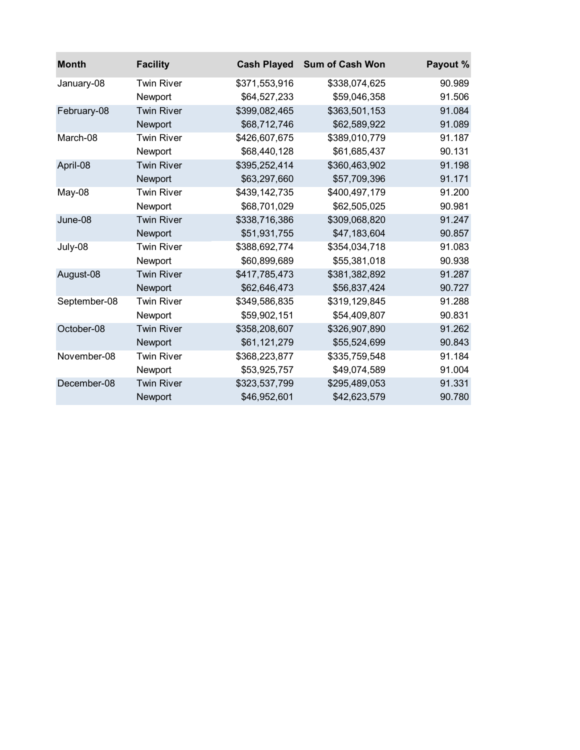| <b>Month</b> | <b>Facility</b>   | <b>Cash Played</b> | <b>Sum of Cash Won</b> | Payout % |
|--------------|-------------------|--------------------|------------------------|----------|
| January-08   | <b>Twin River</b> | \$371,553,916      | \$338,074,625          | 90.989   |
|              | Newport           | \$64,527,233       | \$59,046,358           | 91.506   |
| February-08  | <b>Twin River</b> | \$399,082,465      | \$363,501,153          | 91.084   |
|              | Newport           | \$68,712,746       | \$62,589,922           | 91.089   |
| March-08     | <b>Twin River</b> | \$426,607,675      | \$389,010,779          | 91.187   |
|              | Newport           | \$68,440,128       | \$61,685,437           | 90.131   |
| April-08     | <b>Twin River</b> | \$395,252,414      | \$360,463,902          | 91.198   |
|              | Newport           | \$63,297,660       | \$57,709,396           | 91.171   |
| May-08       | <b>Twin River</b> | \$439,142,735      | \$400,497,179          | 91.200   |
|              | Newport           | \$68,701,029       | \$62,505,025           | 90.981   |
| June-08      | <b>Twin River</b> | \$338,716,386      | \$309,068,820          | 91.247   |
|              | Newport           | \$51,931,755       | \$47,183,604           | 90.857   |
| July-08      | <b>Twin River</b> | \$388,692,774      | \$354,034,718          | 91.083   |
|              | Newport           | \$60,899,689       | \$55,381,018           | 90.938   |
| August-08    | <b>Twin River</b> | \$417,785,473      | \$381,382,892          | 91.287   |
|              | Newport           | \$62,646,473       | \$56,837,424           | 90.727   |
| September-08 | <b>Twin River</b> | \$349,586,835      | \$319,129,845          | 91.288   |
|              | Newport           | \$59,902,151       | \$54,409,807           | 90.831   |
| October-08   | <b>Twin River</b> | \$358,208,607      | \$326,907,890          | 91.262   |
|              | Newport           | \$61,121,279       | \$55,524,699           | 90.843   |
| November-08  | <b>Twin River</b> | \$368,223,877      | \$335,759,548          | 91.184   |
|              | Newport           | \$53,925,757       | \$49,074,589           | 91.004   |
| December-08  | <b>Twin River</b> | \$323,537,799      | \$295,489,053          | 91.331   |
|              | Newport           | \$46,952,601       | \$42,623,579           | 90.780   |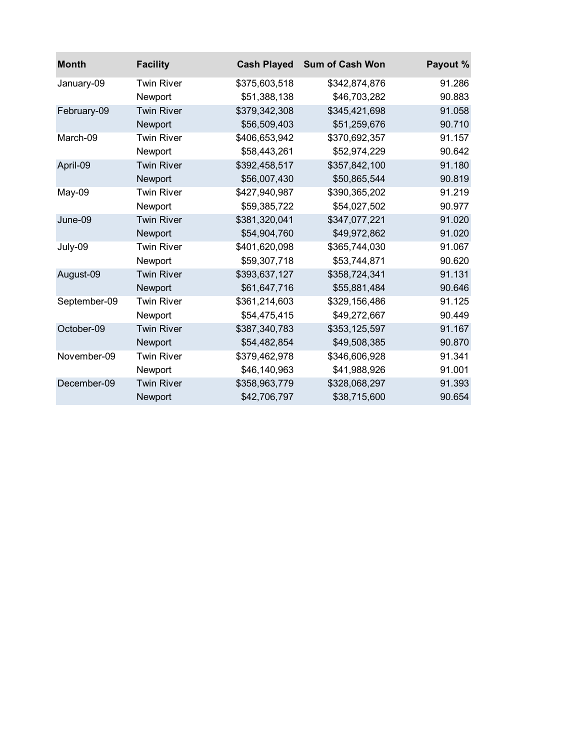| <b>Month</b> | <b>Facility</b>   | <b>Cash Played</b> | <b>Sum of Cash Won</b> | Payout % |
|--------------|-------------------|--------------------|------------------------|----------|
| January-09   | <b>Twin River</b> | \$375,603,518      | \$342,874,876          | 91.286   |
|              | Newport           | \$51,388,138       | \$46,703,282           | 90.883   |
| February-09  | <b>Twin River</b> | \$379,342,308      | \$345,421,698          | 91.058   |
|              | Newport           | \$56,509,403       | \$51,259,676           | 90.710   |
| March-09     | <b>Twin River</b> | \$406,653,942      | \$370,692,357          | 91.157   |
|              | Newport           | \$58,443,261       | \$52,974,229           | 90.642   |
| April-09     | <b>Twin River</b> | \$392,458,517      | \$357,842,100          | 91.180   |
|              | Newport           | \$56,007,430       | \$50,865,544           | 90.819   |
| May-09       | <b>Twin River</b> | \$427,940,987      | \$390,365,202          | 91.219   |
|              | Newport           | \$59,385,722       | \$54,027,502           | 90.977   |
| June-09      | <b>Twin River</b> | \$381,320,041      | \$347,077,221          | 91.020   |
|              | Newport           | \$54,904,760       | \$49,972,862           | 91.020   |
| July-09      | <b>Twin River</b> | \$401,620,098      | \$365,744,030          | 91.067   |
|              | Newport           | \$59,307,718       | \$53,744,871           | 90.620   |
| August-09    | <b>Twin River</b> | \$393,637,127      | \$358,724,341          | 91.131   |
|              | Newport           | \$61,647,716       | \$55,881,484           | 90.646   |
| September-09 | <b>Twin River</b> | \$361,214,603      | \$329,156,486          | 91.125   |
|              | Newport           | \$54,475,415       | \$49,272,667           | 90.449   |
| October-09   | <b>Twin River</b> | \$387,340,783      | \$353,125,597          | 91.167   |
|              | Newport           | \$54,482,854       | \$49,508,385           | 90.870   |
| November-09  | <b>Twin River</b> | \$379,462,978      | \$346,606,928          | 91.341   |
|              | Newport           | \$46,140,963       | \$41,988,926           | 91.001   |
| December-09  | <b>Twin River</b> | \$358,963,779      | \$328,068,297          | 91.393   |
|              | Newport           | \$42,706,797       | \$38,715,600           | 90.654   |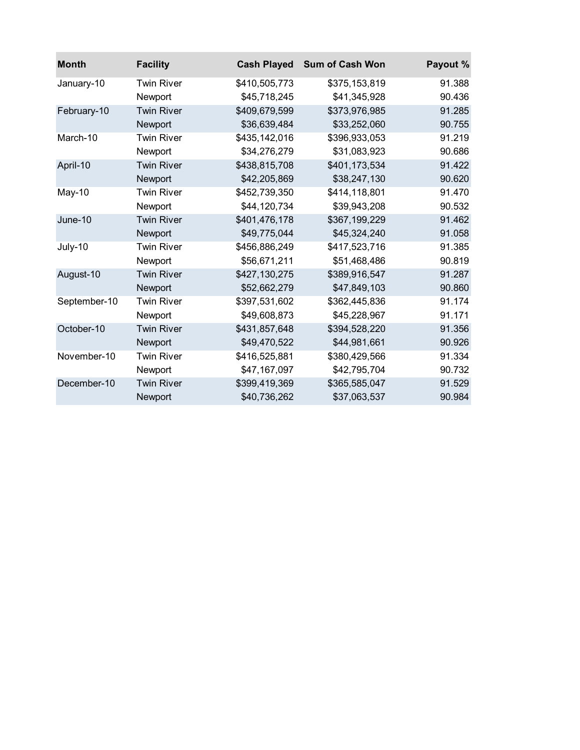| <b>Month</b> | <b>Facility</b>   | <b>Cash Played</b> | <b>Sum of Cash Won</b> | Payout % |
|--------------|-------------------|--------------------|------------------------|----------|
| January-10   | <b>Twin River</b> | \$410,505,773      | \$375,153,819          | 91.388   |
|              | Newport           | \$45,718,245       | \$41,345,928           | 90.436   |
| February-10  | <b>Twin River</b> | \$409,679,599      | \$373,976,985          | 91.285   |
|              | Newport           | \$36,639,484       | \$33,252,060           | 90.755   |
| March-10     | <b>Twin River</b> | \$435,142,016      | \$396,933,053          | 91.219   |
|              | Newport           | \$34,276,279       | \$31,083,923           | 90.686   |
| April-10     | <b>Twin River</b> | \$438,815,708      | \$401,173,534          | 91.422   |
|              | Newport           | \$42,205,869       | \$38,247,130           | 90.620   |
| $May-10$     | <b>Twin River</b> | \$452,739,350      | \$414,118,801          | 91.470   |
|              | Newport           | \$44,120,734       | \$39,943,208           | 90.532   |
| $June-10$    | <b>Twin River</b> | \$401,476,178      | \$367,199,229          | 91.462   |
|              | Newport           | \$49,775,044       | \$45,324,240           | 91.058   |
| July-10      | <b>Twin River</b> | \$456,886,249      | \$417,523,716          | 91.385   |
|              | Newport           | \$56,671,211       | \$51,468,486           | 90.819   |
| August-10    | <b>Twin River</b> | \$427,130,275      | \$389,916,547          | 91.287   |
|              | Newport           | \$52,662,279       | \$47,849,103           | 90.860   |
| September-10 | <b>Twin River</b> | \$397,531,602      | \$362,445,836          | 91.174   |
|              | Newport           | \$49,608,873       | \$45,228,967           | 91.171   |
| October-10   | <b>Twin River</b> | \$431,857,648      | \$394,528,220          | 91.356   |
|              | Newport           | \$49,470,522       | \$44,981,661           | 90.926   |
| November-10  | <b>Twin River</b> | \$416,525,881      | \$380,429,566          | 91.334   |
|              | Newport           | \$47,167,097       | \$42,795,704           | 90.732   |
| December-10  | <b>Twin River</b> | \$399,419,369      | \$365,585,047          | 91.529   |
|              | Newport           | \$40,736,262       | \$37,063,537           | 90.984   |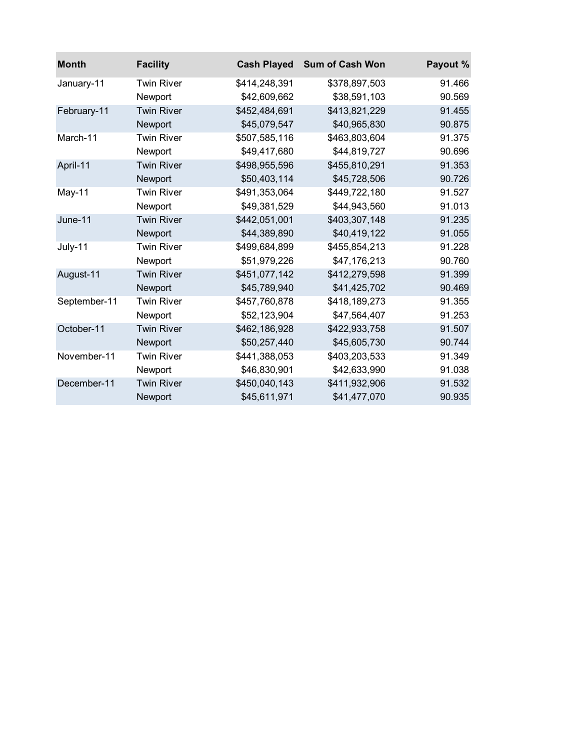| <b>Month</b> | <b>Facility</b>   | <b>Cash Played</b> | <b>Sum of Cash Won</b> | Payout % |
|--------------|-------------------|--------------------|------------------------|----------|
| January-11   | <b>Twin River</b> | \$414,248,391      | \$378,897,503          | 91.466   |
|              | Newport           | \$42,609,662       | \$38,591,103           | 90.569   |
| February-11  | <b>Twin River</b> | \$452,484,691      | \$413,821,229          | 91.455   |
|              | Newport           | \$45,079,547       | \$40,965,830           | 90.875   |
| March-11     | <b>Twin River</b> | \$507,585,116      | \$463,803,604          | 91.375   |
|              | Newport           | \$49,417,680       | \$44,819,727           | 90.696   |
| April-11     | <b>Twin River</b> | \$498,955,596      | \$455,810,291          | 91.353   |
|              | Newport           | \$50,403,114       | \$45,728,506           | 90.726   |
| May-11       | <b>Twin River</b> | \$491,353,064      | \$449,722,180          | 91.527   |
|              | Newport           | \$49,381,529       | \$44,943,560           | 91.013   |
| June-11      | <b>Twin River</b> | \$442,051,001      | \$403,307,148          | 91.235   |
|              | Newport           | \$44,389,890       | \$40,419,122           | 91.055   |
| July-11      | <b>Twin River</b> | \$499,684,899      | \$455,854,213          | 91.228   |
|              | Newport           | \$51,979,226       | \$47,176,213           | 90.760   |
| August-11    | <b>Twin River</b> | \$451,077,142      | \$412,279,598          | 91.399   |
|              | Newport           | \$45,789,940       | \$41,425,702           | 90.469   |
| September-11 | <b>Twin River</b> | \$457,760,878      | \$418,189,273          | 91.355   |
|              | Newport           | \$52,123,904       | \$47,564,407           | 91.253   |
| October-11   | <b>Twin River</b> | \$462,186,928      | \$422,933,758          | 91.507   |
|              | Newport           | \$50,257,440       | \$45,605,730           | 90.744   |
| November-11  | <b>Twin River</b> | \$441,388,053      | \$403,203,533          | 91.349   |
|              | Newport           | \$46,830,901       | \$42,633,990           | 91.038   |
| December-11  | <b>Twin River</b> | \$450,040,143      | \$411,932,906          | 91.532   |
|              | Newport           | \$45,611,971       | \$41,477,070           | 90.935   |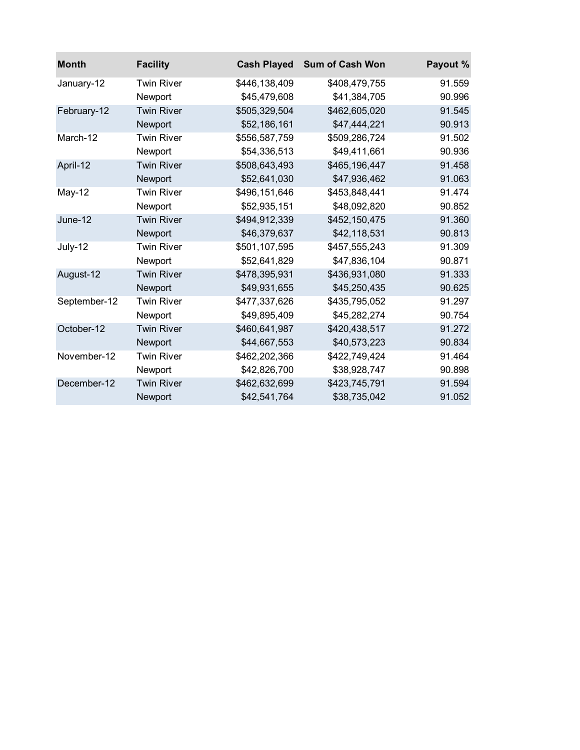| <b>Month</b> | <b>Facility</b>   | <b>Cash Played</b> | <b>Sum of Cash Won</b> | Payout % |
|--------------|-------------------|--------------------|------------------------|----------|
| January-12   | <b>Twin River</b> | \$446,138,409      | \$408,479,755          | 91.559   |
|              | Newport           | \$45,479,608       | \$41,384,705           | 90.996   |
| February-12  | <b>Twin River</b> | \$505,329,504      | \$462,605,020          | 91.545   |
|              | Newport           | \$52,186,161       | \$47,444,221           | 90.913   |
| March-12     | <b>Twin River</b> | \$556,587,759      | \$509,286,724          | 91.502   |
|              | Newport           | \$54,336,513       | \$49,411,661           | 90.936   |
| April-12     | <b>Twin River</b> | \$508,643,493      | \$465,196,447          | 91.458   |
|              | Newport           | \$52,641,030       | \$47,936,462           | 91.063   |
| $May-12$     | <b>Twin River</b> | \$496,151,646      | \$453,848,441          | 91.474   |
|              | Newport           | \$52,935,151       | \$48,092,820           | 90.852   |
| June-12      | <b>Twin River</b> | \$494,912,339      | \$452,150,475          | 91.360   |
|              | Newport           | \$46,379,637       | \$42,118,531           | 90.813   |
| July-12      | <b>Twin River</b> | \$501,107,595      | \$457,555,243          | 91.309   |
|              | Newport           | \$52,641,829       | \$47,836,104           | 90.871   |
| August-12    | <b>Twin River</b> | \$478,395,931      | \$436,931,080          | 91.333   |
|              | Newport           | \$49,931,655       | \$45,250,435           | 90.625   |
| September-12 | <b>Twin River</b> | \$477,337,626      | \$435,795,052          | 91.297   |
|              | Newport           | \$49,895,409       | \$45,282,274           | 90.754   |
| October-12   | <b>Twin River</b> | \$460,641,987      | \$420,438,517          | 91.272   |
|              | Newport           | \$44,667,553       | \$40,573,223           | 90.834   |
| November-12  | <b>Twin River</b> | \$462,202,366      | \$422,749,424          | 91.464   |
|              | Newport           | \$42,826,700       | \$38,928,747           | 90.898   |
| December-12  | <b>Twin River</b> | \$462,632,699      | \$423,745,791          | 91.594   |
|              | Newport           | \$42,541,764       | \$38,735,042           | 91.052   |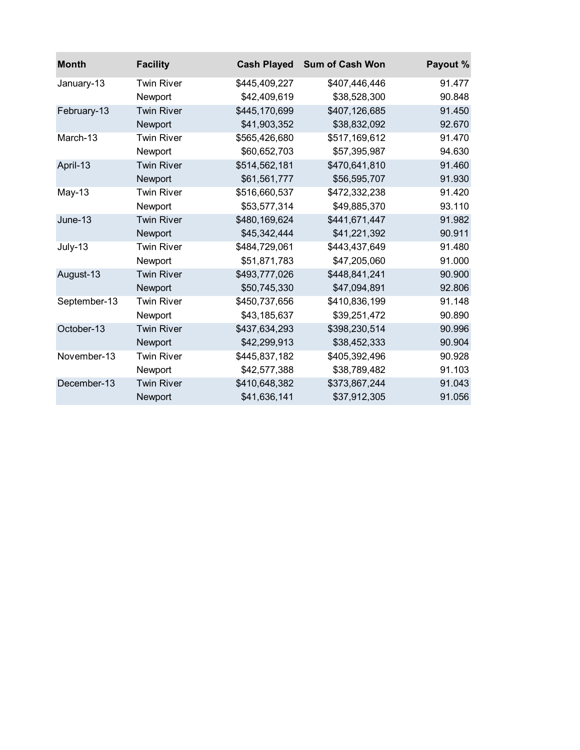| <b>Month</b> | <b>Facility</b>   | <b>Cash Played</b> | <b>Sum of Cash Won</b> | Payout % |
|--------------|-------------------|--------------------|------------------------|----------|
| January-13   | <b>Twin River</b> | \$445,409,227      | \$407,446,446          | 91.477   |
|              | Newport           | \$42,409,619       | \$38,528,300           | 90.848   |
| February-13  | <b>Twin River</b> | \$445,170,699      | \$407,126,685          | 91.450   |
|              | Newport           | \$41,903,352       | \$38,832,092           | 92.670   |
| March-13     | <b>Twin River</b> | \$565,426,680      | \$517,169,612          | 91.470   |
|              | Newport           | \$60,652,703       | \$57,395,987           | 94.630   |
| April-13     | <b>Twin River</b> | \$514,562,181      | \$470,641,810          | 91.460   |
|              | Newport           | \$61,561,777       | \$56,595,707           | 91.930   |
| $May-13$     | <b>Twin River</b> | \$516,660,537      | \$472,332,238          | 91.420   |
|              | Newport           | \$53,577,314       | \$49,885,370           | 93.110   |
| June-13      | <b>Twin River</b> | \$480,169,624      | \$441,671,447          | 91.982   |
|              | Newport           | \$45,342,444       | \$41,221,392           | 90.911   |
| July-13      | <b>Twin River</b> | \$484,729,061      | \$443,437,649          | 91.480   |
|              | Newport           | \$51,871,783       | \$47,205,060           | 91.000   |
| August-13    | <b>Twin River</b> | \$493,777,026      | \$448,841,241          | 90.900   |
|              | Newport           | \$50,745,330       | \$47,094,891           | 92.806   |
| September-13 | <b>Twin River</b> | \$450,737,656      | \$410,836,199          | 91.148   |
|              | Newport           | \$43,185,637       | \$39,251,472           | 90.890   |
| October-13   | <b>Twin River</b> | \$437,634,293      | \$398,230,514          | 90.996   |
|              | Newport           | \$42,299,913       | \$38,452,333           | 90.904   |
| November-13  | <b>Twin River</b> | \$445,837,182      | \$405,392,496          | 90.928   |
|              | Newport           | \$42,577,388       | \$38,789,482           | 91.103   |
| December-13  | <b>Twin River</b> | \$410,648,382      | \$373,867,244          | 91.043   |
|              | Newport           | \$41,636,141       | \$37,912,305           | 91.056   |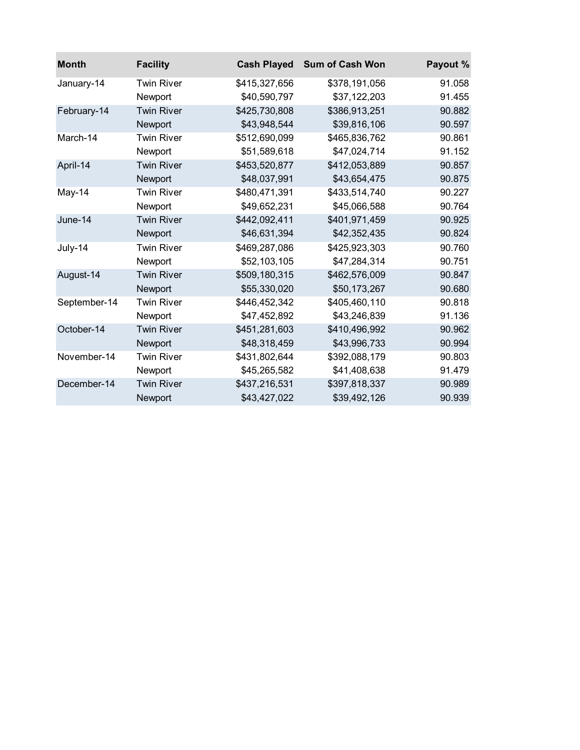| <b>Month</b> | <b>Facility</b>   | <b>Cash Played</b> | <b>Sum of Cash Won</b> | Payout % |
|--------------|-------------------|--------------------|------------------------|----------|
| January-14   | <b>Twin River</b> | \$415,327,656      | \$378,191,056          | 91.058   |
|              | Newport           | \$40,590,797       | \$37,122,203           | 91.455   |
| February-14  | <b>Twin River</b> | \$425,730,808      | \$386,913,251          | 90.882   |
|              | Newport           | \$43,948,544       | \$39,816,106           | 90.597   |
| March-14     | <b>Twin River</b> | \$512,690,099      | \$465,836,762          | 90.861   |
|              | Newport           | \$51,589,618       | \$47,024,714           | 91.152   |
| April-14     | <b>Twin River</b> | \$453,520,877      | \$412,053,889          | 90.857   |
|              | Newport           | \$48,037,991       | \$43,654,475           | 90.875   |
| May-14       | <b>Twin River</b> | \$480,471,391      | \$433,514,740          | 90.227   |
|              | Newport           | \$49,652,231       | \$45,066,588           | 90.764   |
| June-14      | <b>Twin River</b> | \$442,092,411      | \$401,971,459          | 90.925   |
|              | Newport           | \$46,631,394       | \$42,352,435           | 90.824   |
| July-14      | <b>Twin River</b> | \$469,287,086      | \$425,923,303          | 90.760   |
|              | Newport           | \$52,103,105       | \$47,284,314           | 90.751   |
| August-14    | <b>Twin River</b> | \$509,180,315      | \$462,576,009          | 90.847   |
|              | Newport           | \$55,330,020       | \$50,173,267           | 90.680   |
| September-14 | <b>Twin River</b> | \$446,452,342      | \$405,460,110          | 90.818   |
|              | Newport           | \$47,452,892       | \$43,246,839           | 91.136   |
| October-14   | <b>Twin River</b> | \$451,281,603      | \$410,496,992          | 90.962   |
|              | Newport           | \$48,318,459       | \$43,996,733           | 90.994   |
| November-14  | <b>Twin River</b> | \$431,802,644      | \$392,088,179          | 90.803   |
|              | Newport           | \$45,265,582       | \$41,408,638           | 91.479   |
| December-14  | <b>Twin River</b> | \$437,216,531      | \$397,818,337          | 90.989   |
|              | Newport           | \$43,427,022       | \$39,492,126           | 90.939   |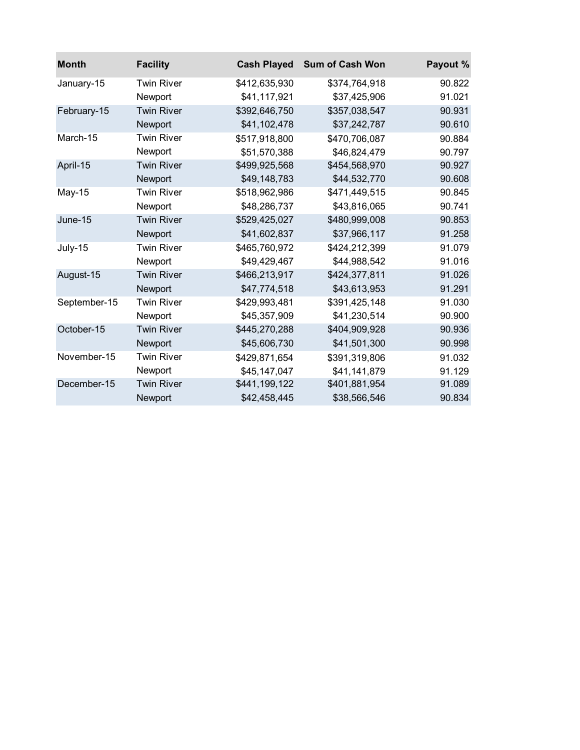| <b>Month</b> | <b>Facility</b>   | <b>Cash Played</b> | <b>Sum of Cash Won</b> | Payout % |
|--------------|-------------------|--------------------|------------------------|----------|
| January-15   | <b>Twin River</b> | \$412,635,930      | \$374,764,918          | 90.822   |
|              | Newport           | \$41,117,921       | \$37,425,906           | 91.021   |
| February-15  | <b>Twin River</b> | \$392,646,750      | \$357,038,547          | 90.931   |
|              | Newport           | \$41,102,478       | \$37,242,787           | 90.610   |
| March-15     | <b>Twin River</b> | \$517,918,800      | \$470,706,087          | 90.884   |
|              | Newport           | \$51,570,388       | \$46,824,479           | 90.797   |
| April-15     | <b>Twin River</b> | \$499,925,568      | \$454,568,970          | 90.927   |
|              | Newport           | \$49,148,783       | \$44,532,770           | 90.608   |
| May-15       | <b>Twin River</b> | \$518,962,986      | \$471,449,515          | 90.845   |
|              | Newport           | \$48,286,737       | \$43,816,065           | 90.741   |
| June-15      | <b>Twin River</b> | \$529,425,027      | \$480,999,008          | 90.853   |
|              | Newport           | \$41,602,837       | \$37,966,117           | 91.258   |
| July-15      | <b>Twin River</b> | \$465,760,972      | \$424,212,399          | 91.079   |
|              | Newport           | \$49,429,467       | \$44,988,542           | 91.016   |
| August-15    | <b>Twin River</b> | \$466,213,917      | \$424,377,811          | 91.026   |
|              | Newport           | \$47,774,518       | \$43,613,953           | 91.291   |
| September-15 | <b>Twin River</b> | \$429,993,481      | \$391,425,148          | 91.030   |
|              | Newport           | \$45,357,909       | \$41,230,514           | 90.900   |
| October-15   | <b>Twin River</b> | \$445,270,288      | \$404,909,928          | 90.936   |
|              | Newport           | \$45,606,730       | \$41,501,300           | 90.998   |
| November-15  | <b>Twin River</b> | \$429,871,654      | \$391,319,806          | 91.032   |
|              | Newport           | \$45,147,047       | \$41,141,879           | 91.129   |
| December-15  | <b>Twin River</b> | \$441,199,122      | \$401,881,954          | 91.089   |
|              | Newport           | \$42,458,445       | \$38,566,546           | 90.834   |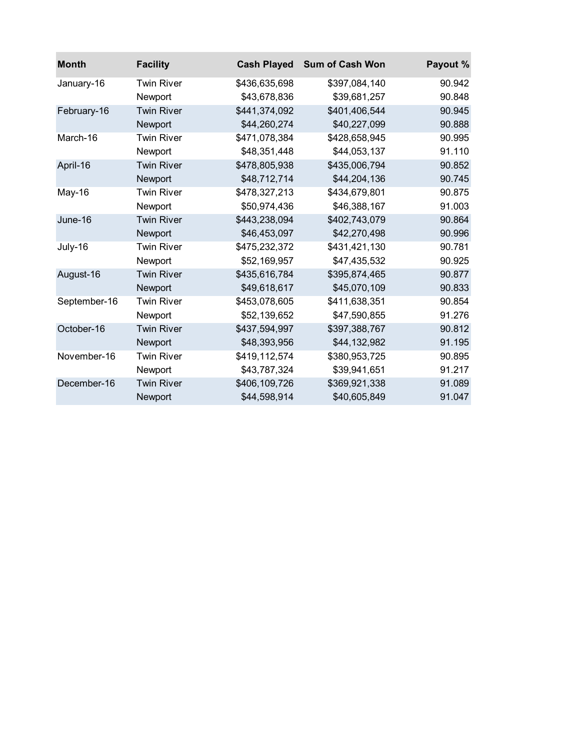| <b>Month</b> | <b>Facility</b>   | <b>Cash Played</b> | <b>Sum of Cash Won</b> | Payout % |
|--------------|-------------------|--------------------|------------------------|----------|
| January-16   | <b>Twin River</b> | \$436,635,698      | \$397,084,140          | 90.942   |
|              | Newport           | \$43,678,836       | \$39,681,257           | 90.848   |
| February-16  | <b>Twin River</b> | \$441,374,092      | \$401,406,544          | 90.945   |
|              | Newport           | \$44,260,274       | \$40,227,099           | 90.888   |
| March-16     | <b>Twin River</b> | \$471,078,384      | \$428,658,945          | 90.995   |
|              | Newport           | \$48,351,448       | \$44,053,137           | 91.110   |
| April-16     | <b>Twin River</b> | \$478,805,938      | \$435,006,794          | 90.852   |
|              | Newport           | \$48,712,714       | \$44,204,136           | 90.745   |
| May-16       | <b>Twin River</b> | \$478,327,213      | \$434,679,801          | 90.875   |
|              | Newport           | \$50,974,436       | \$46,388,167           | 91.003   |
| June-16      | <b>Twin River</b> | \$443,238,094      | \$402,743,079          | 90.864   |
|              | Newport           | \$46,453,097       | \$42,270,498           | 90.996   |
| July-16      | <b>Twin River</b> | \$475,232,372      | \$431,421,130          | 90.781   |
|              | Newport           | \$52,169,957       | \$47,435,532           | 90.925   |
| August-16    | <b>Twin River</b> | \$435,616,784      | \$395,874,465          | 90.877   |
|              | Newport           | \$49,618,617       | \$45,070,109           | 90.833   |
| September-16 | <b>Twin River</b> | \$453,078,605      | \$411,638,351          | 90.854   |
|              | Newport           | \$52,139,652       | \$47,590,855           | 91.276   |
| October-16   | <b>Twin River</b> | \$437,594,997      | \$397,388,767          | 90.812   |
|              | Newport           | \$48,393,956       | \$44,132,982           | 91.195   |
| November-16  | <b>Twin River</b> | \$419,112,574      | \$380,953,725          | 90.895   |
|              | Newport           | \$43,787,324       | \$39,941,651           | 91.217   |
| December-16  | <b>Twin River</b> | \$406,109,726      | \$369,921,338          | 91.089   |
|              | Newport           | \$44,598,914       | \$40,605,849           | 91.047   |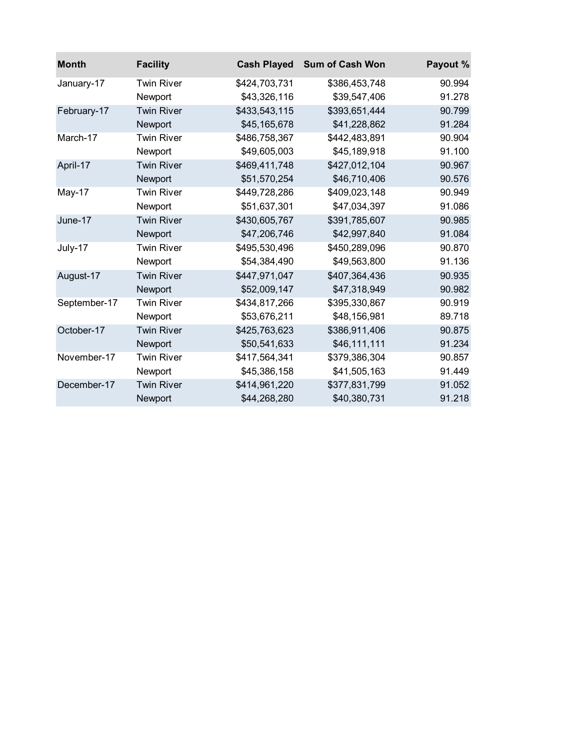| <b>Month</b> | <b>Facility</b>   | <b>Cash Played</b> | <b>Sum of Cash Won</b> | Payout % |
|--------------|-------------------|--------------------|------------------------|----------|
| January-17   | <b>Twin River</b> | \$424,703,731      | \$386,453,748          | 90.994   |
|              | Newport           | \$43,326,116       | \$39,547,406           | 91.278   |
| February-17  | <b>Twin River</b> | \$433,543,115      | \$393,651,444          | 90.799   |
|              | Newport           | \$45,165,678       | \$41,228,862           | 91.284   |
| March-17     | <b>Twin River</b> | \$486,758,367      | \$442,483,891          | 90.904   |
|              | Newport           | \$49,605,003       | \$45,189,918           | 91.100   |
| April-17     | <b>Twin River</b> | \$469,411,748      | \$427,012,104          | 90.967   |
|              | Newport           | \$51,570,254       | \$46,710,406           | 90.576   |
| May-17       | <b>Twin River</b> | \$449,728,286      | \$409,023,148          | 90.949   |
|              | Newport           | \$51,637,301       | \$47,034,397           | 91.086   |
| June-17      | <b>Twin River</b> | \$430,605,767      | \$391,785,607          | 90.985   |
|              | Newport           | \$47,206,746       | \$42,997,840           | 91.084   |
| July-17      | <b>Twin River</b> | \$495,530,496      | \$450,289,096          | 90.870   |
|              | Newport           | \$54,384,490       | \$49,563,800           | 91.136   |
| August-17    | <b>Twin River</b> | \$447,971,047      | \$407,364,436          | 90.935   |
|              | Newport           | \$52,009,147       | \$47,318,949           | 90.982   |
| September-17 | <b>Twin River</b> | \$434,817,266      | \$395,330,867          | 90.919   |
|              | Newport           | \$53,676,211       | \$48,156,981           | 89.718   |
| October-17   | <b>Twin River</b> | \$425,763,623      | \$386,911,406          | 90.875   |
|              | Newport           | \$50,541,633       | \$46,111,111           | 91.234   |
| November-17  | <b>Twin River</b> | \$417,564,341      | \$379,386,304          | 90.857   |
|              | Newport           | \$45,386,158       | \$41,505,163           | 91.449   |
| December-17  | <b>Twin River</b> | \$414,961,220      | \$377,831,799          | 91.052   |
|              | Newport           | \$44,268,280       | \$40,380,731           | 91.218   |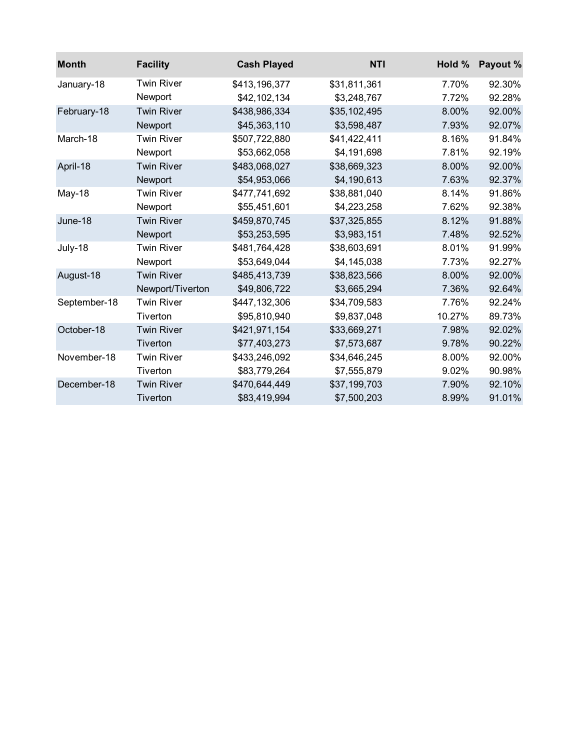| <b>Month</b> | <b>Facility</b>   | <b>Cash Played</b> | <b>NTI</b>   | Hold % | Payout % |
|--------------|-------------------|--------------------|--------------|--------|----------|
| January-18   | <b>Twin River</b> | \$413,196,377      | \$31,811,361 | 7.70%  | 92.30%   |
|              | Newport           | \$42,102,134       | \$3,248,767  | 7.72%  | 92.28%   |
| February-18  | <b>Twin River</b> | \$438,986,334      | \$35,102,495 | 8.00%  | 92.00%   |
|              | Newport           | \$45,363,110       | \$3,598,487  | 7.93%  | 92.07%   |
| March-18     | <b>Twin River</b> | \$507,722,880      | \$41,422,411 | 8.16%  | 91.84%   |
|              | Newport           | \$53,662,058       | \$4,191,698  | 7.81%  | 92.19%   |
| April-18     | <b>Twin River</b> | \$483,068,027      | \$38,669,323 | 8.00%  | 92.00%   |
|              | Newport           | \$54,953,066       | \$4,190,613  | 7.63%  | 92.37%   |
| May-18       | <b>Twin River</b> | \$477,741,692      | \$38,881,040 | 8.14%  | 91.86%   |
|              | Newport           | \$55,451,601       | \$4,223,258  | 7.62%  | 92.38%   |
| June-18      | <b>Twin River</b> | \$459,870,745      | \$37,325,855 | 8.12%  | 91.88%   |
|              | Newport           | \$53,253,595       | \$3,983,151  | 7.48%  | 92.52%   |
| July-18      | <b>Twin River</b> | \$481,764,428      | \$38,603,691 | 8.01%  | 91.99%   |
|              | Newport           | \$53,649,044       | \$4,145,038  | 7.73%  | 92.27%   |
| August-18    | <b>Twin River</b> | \$485,413,739      | \$38,823,566 | 8.00%  | 92.00%   |
|              | Newport/Tiverton  | \$49,806,722       | \$3,665,294  | 7.36%  | 92.64%   |
| September-18 | <b>Twin River</b> | \$447,132,306      | \$34,709,583 | 7.76%  | 92.24%   |
|              | Tiverton          | \$95,810,940       | \$9,837,048  | 10.27% | 89.73%   |
| October-18   | <b>Twin River</b> | \$421,971,154      | \$33,669,271 | 7.98%  | 92.02%   |
|              | Tiverton          | \$77,403,273       | \$7,573,687  | 9.78%  | 90.22%   |
| November-18  | <b>Twin River</b> | \$433,246,092      | \$34,646,245 | 8.00%  | 92.00%   |
|              | Tiverton          | \$83,779,264       | \$7,555,879  | 9.02%  | 90.98%   |
| December-18  | <b>Twin River</b> | \$470,644,449      | \$37,199,703 | 7.90%  | 92.10%   |
|              | Tiverton          | \$83,419,994       | \$7,500,203  | 8.99%  | 91.01%   |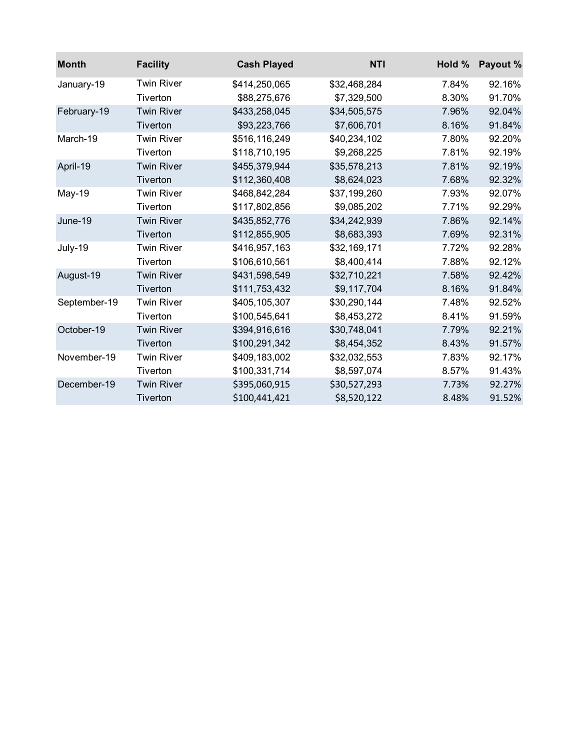| <b>Month</b> | <b>Facility</b>   | <b>Cash Played</b> | <b>NTI</b>   | Hold % | Payout % |
|--------------|-------------------|--------------------|--------------|--------|----------|
| January-19   | <b>Twin River</b> | \$414,250,065      | \$32,468,284 | 7.84%  | 92.16%   |
|              | Tiverton          | \$88,275,676       | \$7,329,500  | 8.30%  | 91.70%   |
| February-19  | <b>Twin River</b> | \$433,258,045      | \$34,505,575 | 7.96%  | 92.04%   |
|              | Tiverton          | \$93,223,766       | \$7,606,701  | 8.16%  | 91.84%   |
| March-19     | <b>Twin River</b> | \$516,116,249      | \$40,234,102 | 7.80%  | 92.20%   |
|              | Tiverton          | \$118,710,195      | \$9,268,225  | 7.81%  | 92.19%   |
| April-19     | <b>Twin River</b> | \$455,379,944      | \$35,578,213 | 7.81%  | 92.19%   |
|              | Tiverton          | \$112,360,408      | \$8,624,023  | 7.68%  | 92.32%   |
| May-19       | <b>Twin River</b> | \$468,842,284      | \$37,199,260 | 7.93%  | 92.07%   |
|              | Tiverton          | \$117,802,856      | \$9,085,202  | 7.71%  | 92.29%   |
| June-19      | <b>Twin River</b> | \$435,852,776      | \$34,242,939 | 7.86%  | 92.14%   |
|              | Tiverton          | \$112,855,905      | \$8,683,393  | 7.69%  | 92.31%   |
| July-19      | <b>Twin River</b> | \$416,957,163      | \$32,169,171 | 7.72%  | 92.28%   |
|              | Tiverton          | \$106,610,561      | \$8,400,414  | 7.88%  | 92.12%   |
| August-19    | <b>Twin River</b> | \$431,598,549      | \$32,710,221 | 7.58%  | 92.42%   |
|              | Tiverton          | \$111,753,432      | \$9,117,704  | 8.16%  | 91.84%   |
| September-19 | <b>Twin River</b> | \$405,105,307      | \$30,290,144 | 7.48%  | 92.52%   |
|              | Tiverton          | \$100,545,641      | \$8,453,272  | 8.41%  | 91.59%   |
| October-19   | <b>Twin River</b> | \$394,916,616      | \$30,748,041 | 7.79%  | 92.21%   |
|              | Tiverton          | \$100,291,342      | \$8,454,352  | 8.43%  | 91.57%   |
| November-19  | <b>Twin River</b> | \$409,183,002      | \$32,032,553 | 7.83%  | 92.17%   |
|              | Tiverton          | \$100,331,714      | \$8,597,074  | 8.57%  | 91.43%   |
| December-19  | <b>Twin River</b> | \$395,060,915      | \$30,527,293 | 7.73%  | 92.27%   |
|              | Tiverton          | \$100,441,421      | \$8,520,122  | 8.48%  | 91.52%   |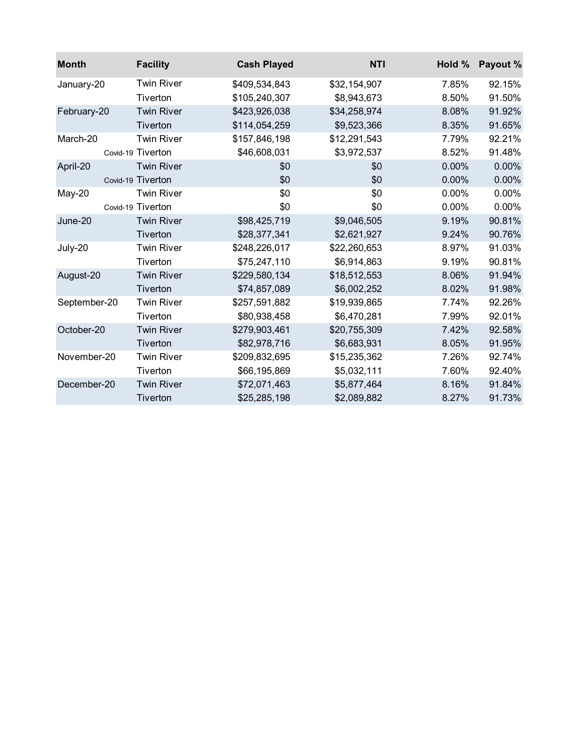| <b>Month</b> | <b>Facility</b>   | <b>Cash Played</b> | <b>NTI</b>   | Hold % | Payout % |
|--------------|-------------------|--------------------|--------------|--------|----------|
| January-20   | <b>Twin River</b> | \$409,534,843      | \$32,154,907 | 7.85%  | 92.15%   |
|              | Tiverton          | \$105,240,307      | \$8,943,673  | 8.50%  | 91.50%   |
| February-20  | <b>Twin River</b> | \$423,926,038      | \$34,258,974 | 8.08%  | 91.92%   |
|              | Tiverton          | \$114,054,259      | \$9,523,366  | 8.35%  | 91.65%   |
| March-20     | <b>Twin River</b> | \$157,846,198      | \$12,291,543 | 7.79%  | 92.21%   |
|              | Covid-19 Tiverton | \$46,608,031       | \$3,972,537  | 8.52%  | 91.48%   |
| April-20     | <b>Twin River</b> | \$0                | \$0          | 0.00%  | 0.00%    |
|              | Covid-19 Tiverton | \$0                | \$0          | 0.00%  | 0.00%    |
| May-20       | <b>Twin River</b> | \$0                | \$0          | 0.00%  | 0.00%    |
|              | Covid-19 Tiverton | \$0                | \$0          | 0.00%  | 0.00%    |
| June-20      | <b>Twin River</b> | \$98,425,719       | \$9,046,505  | 9.19%  | 90.81%   |
|              | Tiverton          | \$28,377,341       | \$2,621,927  | 9.24%  | 90.76%   |
| July-20      | <b>Twin River</b> | \$248,226,017      | \$22,260,653 | 8.97%  | 91.03%   |
|              | Tiverton          | \$75,247,110       | \$6,914,863  | 9.19%  | 90.81%   |
| August-20    | <b>Twin River</b> | \$229,580,134      | \$18,512,553 | 8.06%  | 91.94%   |
|              | Tiverton          | \$74,857,089       | \$6,002,252  | 8.02%  | 91.98%   |
| September-20 | <b>Twin River</b> | \$257,591,882      | \$19,939,865 | 7.74%  | 92.26%   |
|              | Tiverton          | \$80,938,458       | \$6,470,281  | 7.99%  | 92.01%   |
| October-20   | <b>Twin River</b> | \$279,903,461      | \$20,755,309 | 7.42%  | 92.58%   |
|              | Tiverton          | \$82,978,716       | \$6,683,931  | 8.05%  | 91.95%   |
| November-20  | <b>Twin River</b> | \$209,832,695      | \$15,235,362 | 7.26%  | 92.74%   |
|              | Tiverton          | \$66,195,869       | \$5,032,111  | 7.60%  | 92.40%   |
| December-20  | <b>Twin River</b> | \$72,071,463       | \$5,877,464  | 8.16%  | 91.84%   |
|              | Tiverton          | \$25,285,198       | \$2,089,882  | 8.27%  | 91.73%   |